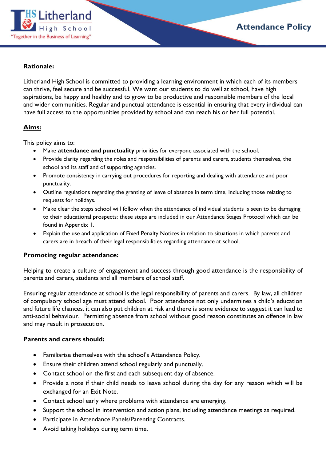

## **Rationale:**

Litherland High School is committed to providing a learning environment in which each of its members can thrive, feel secure and be successful. We want our students to do well at school, have high aspirations, be happy and healthy and to grow to be productive and responsible members of the local and wider communities. Regular and punctual attendance is essential in ensuring that every individual can have full access to the opportunities provided by school and can reach his or her full potential.

### **Aims:**

This policy aims to:

- Make **attendance and punctuality** priorities for everyone associated with the school.
- Provide clarity regarding the roles and responsibilities of parents and carers, students themselves, the school and its staff and of supporting agencies.
- Promote consistency in carrying out procedures for reporting and dealing with attendance and poor punctuality.
- Outline regulations regarding the granting of leave of absence in term time, including those relating to requests for holidays.
- Make clear the steps school will follow when the attendance of individual students is seen to be damaging to their educational prospects: these steps are included in our Attendance Stages Protocol which can be found in Appendix 1.
- Explain the use and application of Fixed Penalty Notices in relation to situations in which parents and carers are in breach of their legal responsibilities regarding attendance at school.

## **Promoting regular attendance:**

Helping to create a culture of engagement and success through good attendance is the responsibility of parents and carers, students and all members of school staff.

Ensuring regular attendance at school is the legal responsibility of parents and carers. By law, all children of compulsory school age must attend school. Poor attendance not only undermines a child's education and future life chances, it can also put children at risk and there is some evidence to suggest it can lead to anti-social behaviour. Permitting absence from school without good reason constitutes an offence in law and may result in prosecution.

## **Parents and carers should:**

- Familiarise themselves with the school's Attendance Policy.
- Ensure their children attend school regularly and punctually.
- Contact school on the first and each subsequent day of absence.
- Provide a note if their child needs to leave school during the day for any reason which will be exchanged for an Exit Note.
- Contact school early where problems with attendance are emerging.
- Support the school in intervention and action plans, including attendance meetings as required.
- Participate in Attendance Panels/Parenting Contracts.
- Avoid taking holidays during term time.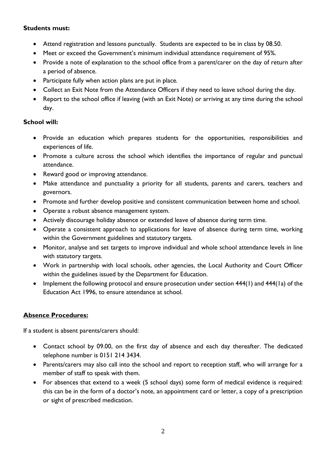## **Students must:**

- Attend registration and lessons punctually. Students are expected to be in class by 08.50.
- Meet or exceed the Government's minimum individual attendance requirement of 95%.
- Provide a note of explanation to the school office from a parent/carer on the day of return after a period of absence.
- Participate fully when action plans are put in place.
- Collect an Exit Note from the Attendance Officers if they need to leave school during the day.
- Report to the school office if leaving (with an Exit Note) or arriving at any time during the school day.

## **School will:**

- Provide an education which prepares students for the opportunities, responsibilities and experiences of life.
- Promote a culture across the school which identifies the importance of regular and punctual attendance.
- Reward good or improving attendance.
- Make attendance and punctuality a priority for all students, parents and carers, teachers and governors.
- Promote and further develop positive and consistent communication between home and school.
- Operate a robust absence management system.
- Actively discourage holiday absence or extended leave of absence during term time.
- Operate a consistent approach to applications for leave of absence during term time, working within the Government guidelines and statutory targets.
- Monitor, analyse and set targets to improve individual and whole school attendance levels in line with statutory targets.
- Work in partnership with local schools, other agencies, the Local Authority and Court Officer within the guidelines issued by the Department for Education.
- Implement the following protocol and ensure prosecution under section 444(1) and 444(1a) of the Education Act 1996, to ensure attendance at school.

# **Absence Procedures:**

If a student is absent parents/carers should:

- Contact school by 09.00, on the first day of absence and each day thereafter. The dedicated telephone number is 0151 214 3434.
- Parents/carers may also call into the school and report to reception staff, who will arrange for a member of staff to speak with them.
- For absences that extend to a week (5 school days) some form of medical evidence is required: this can be in the form of a doctor's note, an appointment card or letter, a copy of a prescription or sight of prescribed medication.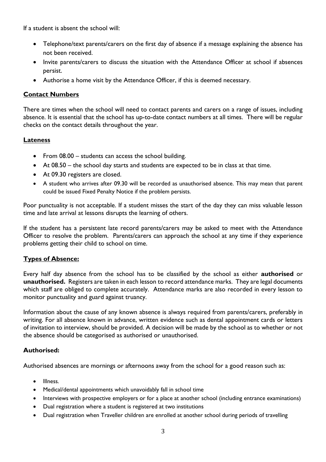If a student is absent the school will:

- Telephone/text parents/carers on the first day of absence if a message explaining the absence has not been received.
- Invite parents/carers to discuss the situation with the Attendance Officer at school if absences persist.
- Authorise a home visit by the Attendance Officer, if this is deemed necessary.

## **Contact Numbers**

There are times when the school will need to contact parents and carers on a range of issues, including absence. It is essential that the school has up-to-date contact numbers at all times. There will be regular checks on the contact details throughout the year.

## **Lateness**

- From 08.00 students can access the school building.
- At 08.50 the school day starts and students are expected to be in class at that time.
- At 09.30 registers are closed.
- A student who arrives after 09.30 will be recorded as unauthorised absence. This may mean that parent could be issued Fixed Penalty Notice if the problem persists.

Poor punctuality is not acceptable. If a student misses the start of the day they can miss valuable lesson time and late arrival at lessons disrupts the learning of others.

If the student has a persistent late record parents/carers may be asked to meet with the Attendance Officer to resolve the problem. Parents/carers can approach the school at any time if they experience problems getting their child to school on time.

# **Types of Absence:**

Every half day absence from the school has to be classified by the school as either **authorised** or **unauthorised.** Registers are taken in each lesson to record attendance marks. They are legal documents which staff are obliged to complete accurately. Attendance marks are also recorded in every lesson to monitor punctuality and guard against truancy.

Information about the cause of any known absence is always required from parents/carers, preferably in writing. For all absence known in advance, written evidence such as dental appointment cards or letters of invitation to interview, should be provided. A decision will be made by the school as to whether or not the absence should be categorised as authorised or unauthorised.

## **Authorised:**

Authorised absences are mornings or afternoons away from the school for a good reason such as:

- Illness.
- Medical/dental appointments which unavoidably fall in school time
- Interviews with prospective employers or for a place at another school (including entrance examinations)
- Dual registration where a student is registered at two institutions
- Dual registration when Traveller children are enrolled at another school during periods of travelling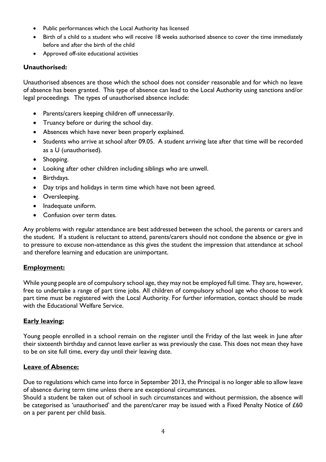- Public performances which the Local Authority has licensed
- Birth of a child to a student who will receive 18 weeks authorised absence to cover the time immediately before and after the birth of the child
- Approved off-site educational activities

## **Unauthorised:**

Unauthorised absences are those which the school does not consider reasonable and for which no leave of absence has been granted. This type of absence can lead to the Local Authority using sanctions and/or legal proceedings. The types of unauthorised absence include:

- Parents/carers keeping children off unnecessarily.
- Truancy before or during the school day.
- Absences which have never been properly explained.
- Students who arrive at school after 09.05. A student arriving late after that time will be recorded as a U (unauthorised).
- Shopping.
- Looking after other children including siblings who are unwell.
- Birthdays.
- Day trips and holidays in term time which have not been agreed.
- Oversleeping.
- Inadequate uniform.
- Confusion over term dates.

Any problems with regular attendance are best addressed between the school, the parents or carers and the student. If a student is reluctant to attend, parents/carers should not condone the absence or give in to pressure to excuse non-attendance as this gives the student the impression that attendance at school and therefore learning and education are unimportant.

## **Employment:**

While young people are of compulsory school age, they may not be employed full time. They are, however, free to undertake a range of part time jobs. All children of compulsory school age who choose to work part time must be registered with the Local Authority. For further information, contact should be made with the Educational Welfare Service.

## **Early leaving:**

Young people enrolled in a school remain on the register until the Friday of the last week in June after their sixteenth birthday and cannot leave earlier as was previously the case. This does not mean they have to be on site full time, every day until their leaving date.

#### **Leave of Absence:**

Due to regulations which came into force in September 2013, the Principal is no longer able to allow leave of absence during term time unless there are exceptional circumstances.

Should a student be taken out of school in such circumstances and without permission, the absence will be categorised as 'unauthorised' and the parent/carer may be issued with a Fixed Penalty Notice of £60 on a per parent per child basis.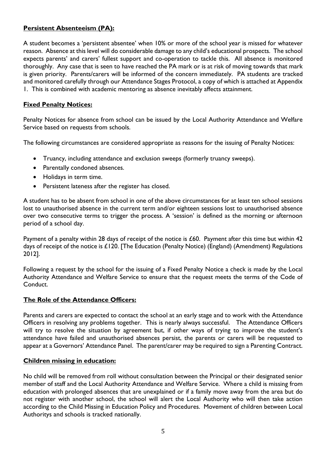# **Persistent Absenteeism (PA):**

A student becomes a 'persistent absentee' when 10% or more of the school year is missed for whatever reason. Absence at this level will do considerable damage to any child's educational prospects. The school expects parents' and carers' fullest support and co-operation to tackle this. All absence is monitored thoroughly. Any case that is seen to have reached the PA mark or is at risk of moving towards that mark is given priority. Parents/carers will be informed of the concern immediately. PA students are tracked and monitored carefully through our Attendance Stages Protocol, a copy of which is attached at Appendix 1. This is combined with academic mentoring as absence inevitably affects attainment.

## **Fixed Penalty Notices:**

Penalty Notices for absence from school can be issued by the Local Authority Attendance and Welfare Service based on requests from schools.

The following circumstances are considered appropriate as reasons for the issuing of Penalty Notices:

- Truancy, including attendance and exclusion sweeps (formerly truancy sweeps).
- Parentally condoned absences.
- Holidays in term time.
- Persistent lateness after the register has closed.

A student has to be absent from school in one of the above circumstances for at least ten school sessions lost to unauthorised absence in the current term and/or eighteen sessions lost to unauthorised absence over two consecutive terms to trigger the process. A 'session' is defined as the morning or afternoon period of a school day.

Payment of a penalty within 28 days of receipt of the notice is £60. Payment after this time but within 42 days of receipt of the notice is £120. [The Education (Penalty Notice) (England) (Amendment) Regulations 2012].

Following a request by the school for the issuing of a Fixed Penalty Notice a check is made by the Local Authority Attendance and Welfare Service to ensure that the request meets the terms of the Code of Conduct.

## **The Role of the Attendance Officers:**

Parents and carers are expected to contact the school at an early stage and to work with the Attendance Officers in resolving any problems together. This is nearly always successful. The Attendance Officers will try to resolve the situation by agreement but, if other ways of trying to improve the student's attendance have failed and unauthorised absences persist, the parents or carers will be requested to appear at a Governors' Attendance Panel. The parent/carer may be required to sign a Parenting Contract.

## **Children missing in education:**

No child will be removed from roll without consultation between the Principal or their designated senior member of staff and the Local Authority Attendance and Welfare Service. Where a child is missing from education with prolonged absences that are unexplained or if a family move away from the area but do not register with another school, the school will alert the Local Authority who will then take action according to the Child Missing in Education Policy and Procedures. Movement of children between Local Authoritys and schools is tracked nationally.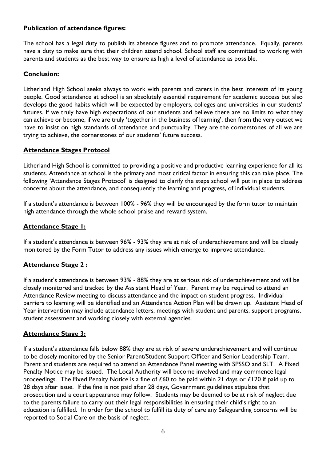## **Publication of attendance figures:**

The school has a legal duty to publish its absence figures and to promote attendance. Equally, parents have a duty to make sure that their children attend school. School staff are committed to working with parents and students as the best way to ensure as high a level of attendance as possible.

### **Conclusion:**

Litherland High School seeks always to work with parents and carers in the best interests of its young people. Good attendance at school is an absolutely essential requirement for academic success but also develops the good habits which will be expected by employers, colleges and universities in our students' futures. If we truly have high expectations of our students and believe there are no limits to what they can achieve or become, if we are truly 'together in the business of learning', then from the very outset we have to insist on high standards of attendance and punctuality. They are the cornerstones of all we are trying to achieve, the cornerstones of our students' future success.

## **Attendance Stages Protocol**

Litherland High School is committed to providing a positive and productive learning experience for all its students. Attendance at school is the primary and most critical factor in ensuring this can take place. The following 'Attendance Stages Protocol' is designed to clarify the steps school will put in place to address concerns about the attendance, and consequently the learning and progress, of individual students.

If a student's attendance is between 100% - 96% they will be encouraged by the form tutor to maintain high attendance through the whole school praise and reward system.

### **Attendance Stage 1:**

If a student's attendance is between 96% - 93% they are at risk of underachievement and will be closely monitored by the Form Tutor to address any issues which emerge to improve attendance.

## **Attendance Stage 2 :**

If a student's attendance is between 93% - 88% they are at serious risk of underachievement and will be closely monitored and tracked by the Assistant Head of Year. Parent may be required to attend an Attendance Review meeting to discuss attendance and the impact on student progress. Individual barriers to learning will be identified and an Attendance Action Plan will be drawn up. Assistant Head of Year intervention may include attendance letters, meetings with student and parents, support programs, student assessment and working closely with external agencies.

## **Attendance Stage 3:**

If a student's attendance falls below 88% they are at risk of severe underachievement and will continue to be closely monitored by the Senior Parent/Student Support Officer and Senior Leadership Team. Parent and students are required to attend an Attendance Panel meeting with SPSSO and SLT. A Fixed Penalty Notice may be issued. The Local Authority will become involved and may commence legal proceedings. The Fixed Penalty Notice is a fine of £60 to be paid within 21 days or £120 if paid up to 28 days after issue. If the fine is not paid after 28 days, Government guidelines stipulate that prosecution and a court appearance may follow. Students may be deemed to be at risk of neglect due to the parents failure to carry out their legal responsibilities in ensuring their child's right to an education is fulfilled. In order for the school to fulfill its duty of care any Safeguarding concerns will be reported to Social Care on the basis of neglect.